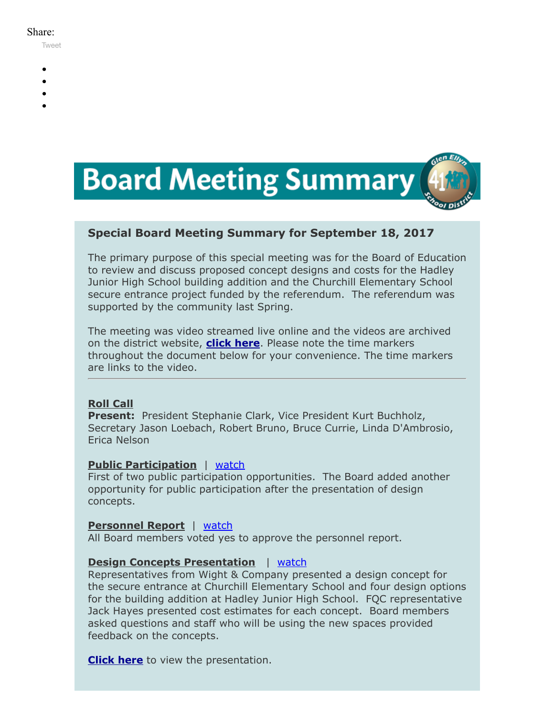#### Share:

[Tweet](https://twitter.com/intent/tweet?original_referer=https%3A%2F%2Fmyemail.constantcontact.com%2FBoard-Meeting-Summary-for-September-18--2017.html%3Fsoid%3D1102200973173%26aid%3DKhOjP9ljm4Y&ref_src=twsrc%5Etfw&text=Board%20Meeting%20Summary%20for%20September%2018%2C%202017&tw_p=tweetbutton&url=https%3A%2F%2Fmyemail.constantcontact.com%2FBoard-Meeting-Summary-for-September-18--2017.html%3Fsoid%3D1102200973173%26aid%3DKhOjP9ljm4Y)

- -
- 
- 
- 



# **Special Board Meeting Summary for September 18, 2017**

The primary purpose of this special meeting was for the Board of Education to review and discuss proposed concept designs and costs for the Hadley Junior High School building addition and the Churchill Elementary School secure entrance project funded by the referendum. The referendum was supported by the community last Spring.

The meeting was video streamed live online and the videos are archived on the district website, **[click here](http://www.d41.org/domain/463)**. Please note the time markers throughout the document below for your convenience. The time markers are links to the video.

## **Roll Call**

**Present:** President Stephanie Clark, Vice President Kurt Buchholz, Secretary Jason Loebach, Robert Bruno, Bruce Currie, Linda D'Ambrosio, Erica Nelson

#### **Public Participation** | [watch](https://www.youtube.com/watch?v=fisuYTSjFgs&t=1m58s)

First of two public participation opportunities. The Board added another opportunity for public participation after the presentation of design concepts.

#### **Personnel Report** | [watch](https://www.youtube.com/watch?v=fisuYTSjFgs&t=14m26s)

All Board members voted yes to approve the personnel report.

## **Design Concepts Presentation** | [watch](https://www.youtube.com/watch?v=fisuYTSjFgs&t=14m55s)

Representatives from Wight & Company presented a design concept for the secure entrance at Churchill Elementary School and four design options for the building addition at Hadley Junior High School. FQC representative Jack Hayes presented cost estimates for each concept. Board members asked questions and staff who will be using the new spaces provided feedback on the concepts.

**[Click here](https://v3.boardbook.org/Public/PublicItemDownload.aspx?ik=41251815)** to view the presentation.